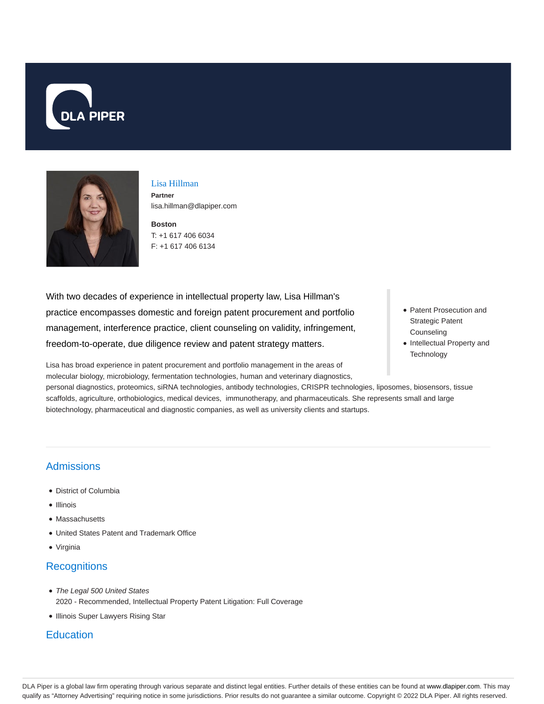



# Lisa Hillman

**Partner** lisa.hillman@dlapiper.com

**Boston** T: +1 617 406 6034 F: +1 617 406 6134

With two decades of experience in intellectual property law, Lisa Hillman's practice encompasses domestic and foreign patent procurement and portfolio management, interference practice, client counseling on validity, infringement, freedom-to-operate, due diligence review and patent strategy matters.

Lisa has broad experience in patent procurement and portfolio management in the areas of molecular biology, microbiology, fermentation technologies, human and veterinary diagnostics,

personal diagnostics, proteomics, siRNA technologies, antibody technologies, CRISPR technologies, liposomes, biosensors, tissue scaffolds, agriculture, orthobiologics, medical devices, immunotherapy, and pharmaceuticals. She represents small and large

- Patent Prosecution and Strategic Patent **Counseling**
- Intellectual Property and **Technology**

biotechnology, pharmaceutical and diagnostic companies, as well as university clients and startups.

# Admissions

- District of Columbia
- Illinois
- Massachusetts
- United States Patent and Trademark Office
- Virginia

# **Recognitions**

- The Legal 500 United States 2020 - Recommended, Intellectual Property Patent Litigation: Full Coverage
- Illinois Super Lawyers Rising Star

# **Education**